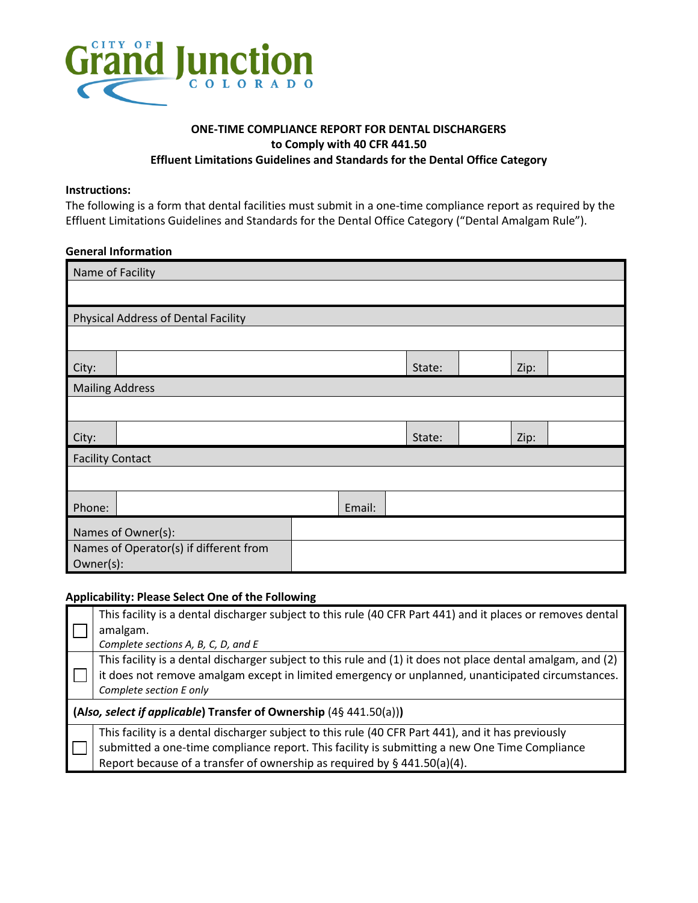

## **ONE-TIME COMPLIANCE REPORT FOR DENTAL DISCHARGERS to Comply with 40 CFR 441.50 Effluent Limitations Guidelines and Standards for the Dental Office Category**

#### **Instructions:**

The following is a form that dental facilities must submit in a one-time compliance report as required by the Effluent Limitations Guidelines and Standards for the Dental Office Category ("Dental Amalgam Rule").

### **General Information**

| Name of Facility                                    |                                            |  |        |  |      |  |  |
|-----------------------------------------------------|--------------------------------------------|--|--------|--|------|--|--|
|                                                     |                                            |  |        |  |      |  |  |
|                                                     | <b>Physical Address of Dental Facility</b> |  |        |  |      |  |  |
|                                                     |                                            |  |        |  |      |  |  |
| City:                                               |                                            |  | State: |  | Zip: |  |  |
| <b>Mailing Address</b>                              |                                            |  |        |  |      |  |  |
|                                                     |                                            |  |        |  |      |  |  |
| City:                                               |                                            |  | State: |  | Zip: |  |  |
| <b>Facility Contact</b>                             |                                            |  |        |  |      |  |  |
|                                                     |                                            |  |        |  |      |  |  |
| Phone:                                              | Email:                                     |  |        |  |      |  |  |
| Names of Owner(s):                                  |                                            |  |        |  |      |  |  |
| Names of Operator(s) if different from<br>Owner(s): |                                            |  |        |  |      |  |  |

#### **Applicability: Please Select One of the Following**

|                                                                    | This facility is a dental discharger subject to this rule (40 CFR Part 441) and it places or removes dental |  |  |  |  |
|--------------------------------------------------------------------|-------------------------------------------------------------------------------------------------------------|--|--|--|--|
|                                                                    | amalgam.                                                                                                    |  |  |  |  |
|                                                                    | Complete sections A, B, C, D, and E                                                                         |  |  |  |  |
|                                                                    | This facility is a dental discharger subject to this rule and (1) it does not place dental amalgam, and (2) |  |  |  |  |
|                                                                    | it does not remove amalgam except in limited emergency or unplanned, unanticipated circumstances.           |  |  |  |  |
|                                                                    | Complete section E only                                                                                     |  |  |  |  |
| (Also, select if applicable) Transfer of Ownership (4§ 441.50(a))) |                                                                                                             |  |  |  |  |
|                                                                    | This facility is a dental discharger subject to this rule (40 CFR Part 441), and it has previously          |  |  |  |  |
|                                                                    | submitted a one-time compliance report. This facility is submitting a new One Time Compliance               |  |  |  |  |
|                                                                    | Report because of a transfer of ownership as required by § 441.50(a)(4).                                    |  |  |  |  |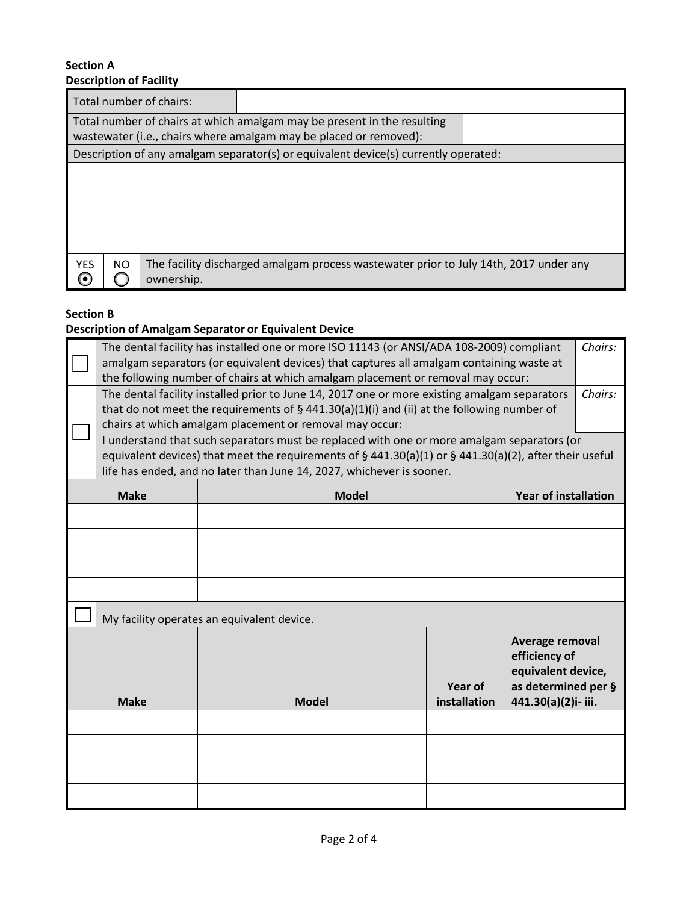#### **Section A Description of Facility**

| Total number of chairs: |                                                                                       |  |  |  |  |  |
|-------------------------|---------------------------------------------------------------------------------------|--|--|--|--|--|
|                         | Total number of chairs at which amalgam may be present in the resulting               |  |  |  |  |  |
|                         | wastewater (i.e., chairs where amalgam may be placed or removed):                     |  |  |  |  |  |
|                         | Description of any amalgam separator(s) or equivalent device(s) currently operated:   |  |  |  |  |  |
|                         |                                                                                       |  |  |  |  |  |
|                         |                                                                                       |  |  |  |  |  |
|                         |                                                                                       |  |  |  |  |  |
|                         |                                                                                       |  |  |  |  |  |
|                         |                                                                                       |  |  |  |  |  |
|                         |                                                                                       |  |  |  |  |  |
| <b>YES</b><br>NO<br>0   | The facility discharged amalgam process wastewater prior to July 14th, 2017 under any |  |  |  |  |  |
| ownership.              |                                                                                       |  |  |  |  |  |

## **Section B**

# **Description of Amalgam Separator or Equivalent Device**

|                                                                                                        | The dental facility has installed one or more ISO 11143 (or ANSI/ADA 108-2009) compliant<br>amalgam separators (or equivalent devices) that captures all amalgam containing waste at |                                                                                            |                |                                           | Chairs: |
|--------------------------------------------------------------------------------------------------------|--------------------------------------------------------------------------------------------------------------------------------------------------------------------------------------|--------------------------------------------------------------------------------------------|----------------|-------------------------------------------|---------|
| the following number of chairs at which amalgam placement or removal may occur:                        |                                                                                                                                                                                      |                                                                                            |                |                                           |         |
|                                                                                                        | The dental facility installed prior to June 14, 2017 one or more existing amalgam separators                                                                                         |                                                                                            |                |                                           | Chairs: |
|                                                                                                        | that do not meet the requirements of $\S$ 441.30(a)(1)(i) and (ii) at the following number of<br>chairs at which amalgam placement or removal may occur:                             |                                                                                            |                |                                           |         |
|                                                                                                        |                                                                                                                                                                                      | I understand that such separators must be replaced with one or more amalgam separators (or |                |                                           |         |
| equivalent devices) that meet the requirements of § 441.30(a)(1) or § 441.30(a)(2), after their useful |                                                                                                                                                                                      |                                                                                            |                |                                           |         |
|                                                                                                        | life has ended, and no later than June 14, 2027, whichever is sooner.                                                                                                                |                                                                                            |                |                                           |         |
|                                                                                                        | <b>Make</b>                                                                                                                                                                          | <b>Model</b>                                                                               |                | <b>Year of installation</b>               |         |
|                                                                                                        |                                                                                                                                                                                      |                                                                                            |                |                                           |         |
|                                                                                                        |                                                                                                                                                                                      |                                                                                            |                |                                           |         |
|                                                                                                        |                                                                                                                                                                                      |                                                                                            |                |                                           |         |
|                                                                                                        |                                                                                                                                                                                      |                                                                                            |                |                                           |         |
|                                                                                                        | My facility operates an equivalent device.                                                                                                                                           |                                                                                            |                |                                           |         |
|                                                                                                        |                                                                                                                                                                                      |                                                                                            |                | Average removal                           |         |
|                                                                                                        |                                                                                                                                                                                      |                                                                                            |                | efficiency of                             |         |
|                                                                                                        |                                                                                                                                                                                      |                                                                                            | <b>Year of</b> | equivalent device,<br>as determined per § |         |
| <b>Make</b>                                                                                            |                                                                                                                                                                                      | <b>Model</b>                                                                               | installation   | 441.30(a)(2)i-iii.                        |         |
|                                                                                                        |                                                                                                                                                                                      |                                                                                            |                |                                           |         |
|                                                                                                        |                                                                                                                                                                                      |                                                                                            |                |                                           |         |
|                                                                                                        |                                                                                                                                                                                      |                                                                                            |                |                                           |         |
|                                                                                                        |                                                                                                                                                                                      |                                                                                            |                |                                           |         |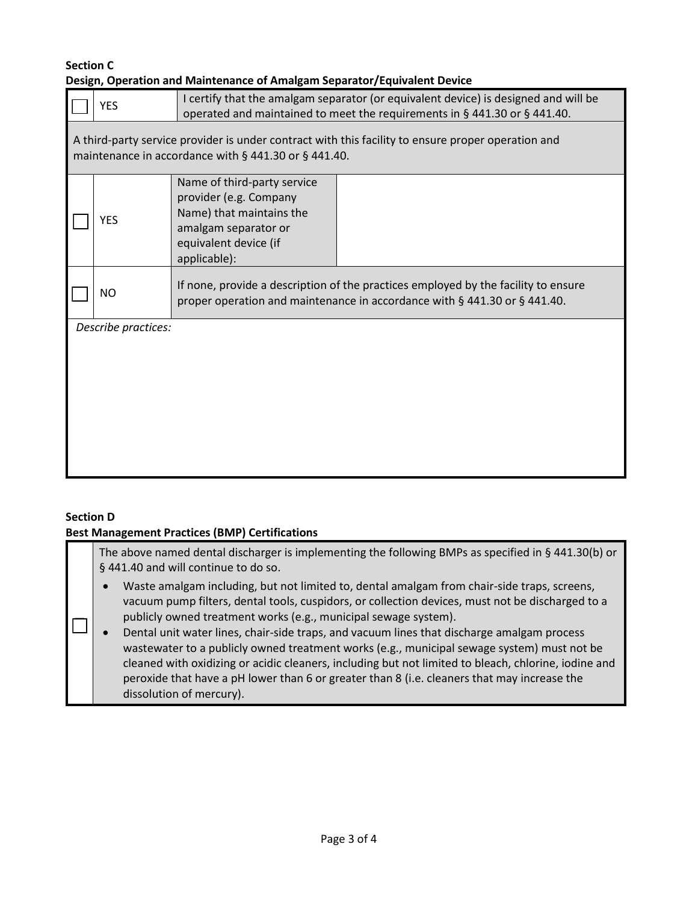### **Section C Design, Operation and Maintenance of Amalgam Separator/Equivalent Device**

|                                                                                                                                                            | <b>YES</b> | I certify that the amalgam separator (or equivalent device) is designed and will be<br>operated and maintained to meet the requirements in § 441.30 or § 441.40. |  |  |
|------------------------------------------------------------------------------------------------------------------------------------------------------------|------------|------------------------------------------------------------------------------------------------------------------------------------------------------------------|--|--|
| A third-party service provider is under contract with this facility to ensure proper operation and<br>maintenance in accordance with § 441.30 or § 441.40. |            |                                                                                                                                                                  |  |  |
|                                                                                                                                                            | <b>YES</b> | Name of third-party service<br>provider (e.g. Company<br>Name) that maintains the<br>amalgam separator or<br>equivalent device (if<br>applicable):               |  |  |
|                                                                                                                                                            | <b>NO</b>  | If none, provide a description of the practices employed by the facility to ensure<br>proper operation and maintenance in accordance with § 441.30 or § 441.40.  |  |  |
| Describe practices:                                                                                                                                        |            |                                                                                                                                                                  |  |  |

# **Section D**

# **Best Management Practices (BMP) Certifications**

| The above named dental discharger is implementing the following BMPs as specified in § 441.30(b) or<br>§ 441.40 and will continue to do so. |                                                                                                                                                                                                                                                                                                                                                                  |  |  |
|---------------------------------------------------------------------------------------------------------------------------------------------|------------------------------------------------------------------------------------------------------------------------------------------------------------------------------------------------------------------------------------------------------------------------------------------------------------------------------------------------------------------|--|--|
| $\bullet$                                                                                                                                   | Waste amalgam including, but not limited to, dental amalgam from chair-side traps, screens,<br>vacuum pump filters, dental tools, cuspidors, or collection devices, must not be discharged to a<br>publicly owned treatment works (e.g., municipal sewage system).<br>Dental unit water lines, chair-side traps, and vacuum lines that discharge amalgam process |  |  |
|                                                                                                                                             | wastewater to a publicly owned treatment works (e.g., municipal sewage system) must not be                                                                                                                                                                                                                                                                       |  |  |

wastewater to a publicly owned treatment works (e.g., municipal sewage system) must not be cleaned with oxidizing or acidic cleaners, including but not limited to bleach, chlorine, iodine and peroxide that have a pH lower than 6 or greater than 8 (i.e. cleaners that may increase the dissolution of mercury).